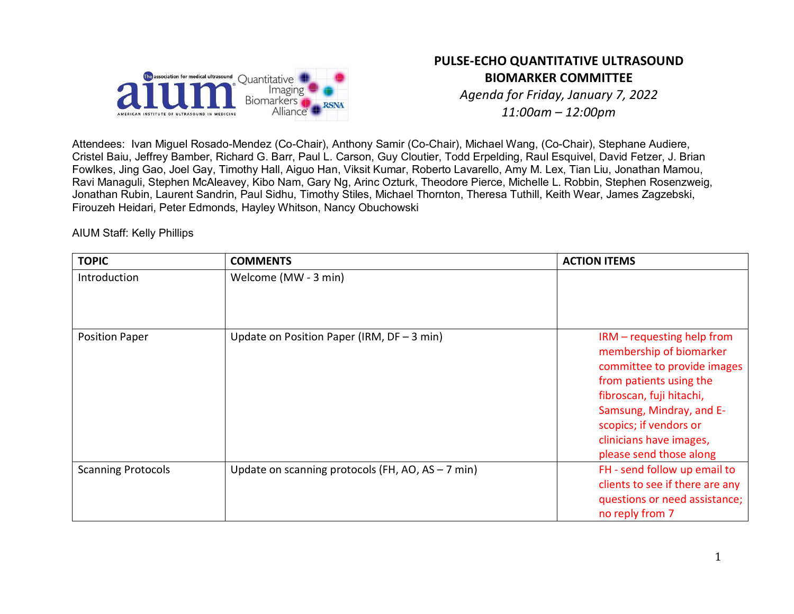

# **PULSE-ECHO QUANTITATIVE ULTRASOUND BIOMARKER COMMITTEE**

*Agenda for Friday, January 7, 2022 11:00am – 12:00pm*

Attendees: Ivan Miguel Rosado-Mendez (Co-Chair), Anthony Samir (Co-Chair), Michael Wang, (Co-Chair), Stephane Audiere, Cristel Baiu, Jeffrey Bamber, Richard G. Barr, Paul L. Carson, Guy Cloutier, Todd Erpelding, Raul Esquivel, David Fetzer, J. Brian Fowlkes, Jing Gao, Joel Gay, Timothy Hall, Aiguo Han, Viksit Kumar, Roberto Lavarello, Amy M. Lex, Tian Liu, Jonathan Mamou, Ravi Managuli, Stephen McAleavey, Kibo Nam, Gary Ng, Arinc Ozturk, Theodore Pierce, Michelle L. Robbin, Stephen Rosenzweig, Jonathan Rubin, Laurent Sandrin, Paul Sidhu, Timothy Stiles, Michael Thornton, Theresa Tuthill, Keith Wear, James Zagzebski, Firouzeh Heidari, Peter Edmonds, Hayley Whitson, Nancy Obuchowski

AIUM Staff: Kelly Phillips

| <b>TOPIC</b>              | <b>COMMENTS</b>                                   | <b>ACTION ITEMS</b>                                                                                                                                                                                                                                     |
|---------------------------|---------------------------------------------------|---------------------------------------------------------------------------------------------------------------------------------------------------------------------------------------------------------------------------------------------------------|
| Introduction              | Welcome (MW - 3 min)                              |                                                                                                                                                                                                                                                         |
| <b>Position Paper</b>     | Update on Position Paper (IRM, $DF - 3$ min)      | IRM - requesting help from<br>membership of biomarker<br>committee to provide images<br>from patients using the<br>fibroscan, fuji hitachi,<br>Samsung, Mindray, and E-<br>scopics; if vendors or<br>clinicians have images,<br>please send those along |
| <b>Scanning Protocols</b> | Update on scanning protocols (FH, AO, AS - 7 min) | FH - send follow up email to<br>clients to see if there are any<br>questions or need assistance;<br>no reply from 7                                                                                                                                     |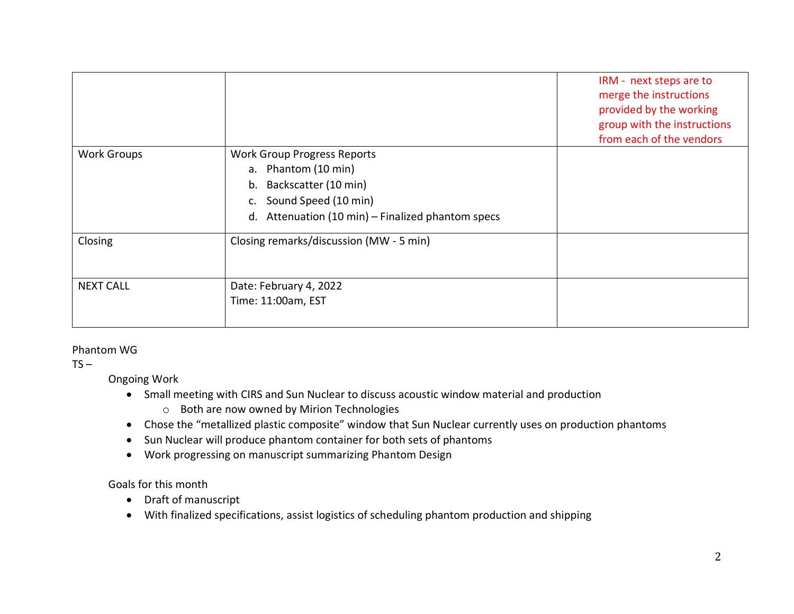|                    |                                                                                                                                                                               | IRM - next steps are to<br>merge the instructions<br>provided by the working<br>group with the instructions<br>from each of the vendors |
|--------------------|-------------------------------------------------------------------------------------------------------------------------------------------------------------------------------|-----------------------------------------------------------------------------------------------------------------------------------------|
| <b>Work Groups</b> | <b>Work Group Progress Reports</b><br>a. Phantom (10 min)<br>Backscatter (10 min)<br>b.<br>Sound Speed (10 min)<br>c.<br>Attenuation (10 min) – Finalized phantom specs<br>d. |                                                                                                                                         |
| Closing            | Closing remarks/discussion (MW - 5 min)                                                                                                                                       |                                                                                                                                         |
| <b>NEXT CALL</b>   | Date: February 4, 2022<br>Time: 11:00am, EST                                                                                                                                  |                                                                                                                                         |

#### Phantom WG

 $TS -$ 

Ongoing Work

- Small meeting with CIRS and Sun Nuclear to discuss acoustic window material and production
	- o Both are now owned by Mirion Technologies
- Chose the "metallized plastic composite" window that Sun Nuclear currently uses on production phantoms
- Sun Nuclear will produce phantom container for both sets of phantoms
- Work progressing on manuscript summarizing Phantom Design

Goals for this month

- Draft of manuscript
- With finalized specifications, assist logistics of scheduling phantom production and shipping